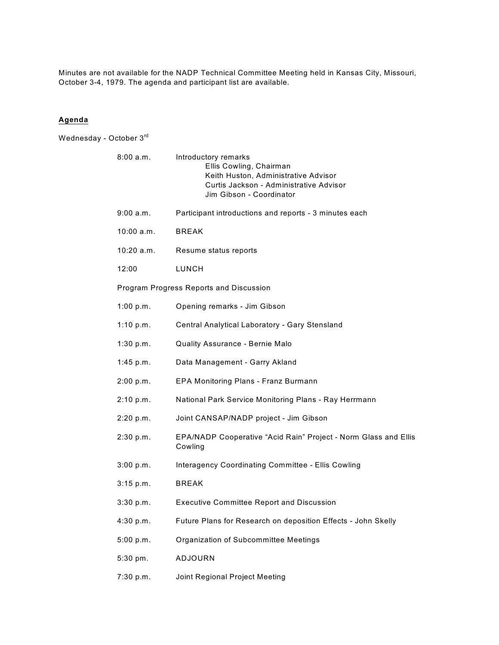Minutes are not available for the NADP Technical Committee Meeting held in Kansas City, Missouri, October 3-4, 1979. The agenda and participant list are available.

## **Agenda**

Wednesday - October 3rd

| 8:00 a.m.                               | Introductory remarks<br>Ellis Cowling, Chairman<br>Keith Huston, Administrative Advisor<br>Curtis Jackson - Administrative Advisor<br>Jim Gibson - Coordinator |  |
|-----------------------------------------|----------------------------------------------------------------------------------------------------------------------------------------------------------------|--|
| 9:00 a.m.                               | Participant introductions and reports - 3 minutes each                                                                                                         |  |
| 10:00 a.m.                              | <b>BREAK</b>                                                                                                                                                   |  |
| 10:20 a.m.                              | Resume status reports                                                                                                                                          |  |
| 12:00                                   | LUNCH                                                                                                                                                          |  |
| Program Progress Reports and Discussion |                                                                                                                                                                |  |
| 1:00 p.m.                               | Opening remarks - Jim Gibson                                                                                                                                   |  |
| 1:10 $p.m.$                             | Central Analytical Laboratory - Gary Stensland                                                                                                                 |  |
| 1:30 p.m.                               | <b>Quality Assurance - Bernie Malo</b>                                                                                                                         |  |
| 1:45 p.m.                               | Data Management - Garry Akland                                                                                                                                 |  |
| 2:00 p.m.                               | EPA Monitoring Plans - Franz Burmann                                                                                                                           |  |
| 2:10 p.m.                               | National Park Service Monitoring Plans - Ray Herrmann                                                                                                          |  |
| 2:20 p.m.                               | Joint CANSAP/NADP project - Jim Gibson                                                                                                                         |  |
| 2:30 p.m.                               | EPA/NADP Cooperative "Acid Rain" Project - Norm Glass and Ellis<br>Cowling                                                                                     |  |
| 3:00 p.m.                               | Interagency Coordinating Committee - Ellis Cowling                                                                                                             |  |
| 3:15 p.m.                               | <b>BREAK</b>                                                                                                                                                   |  |
| 3:30 p.m.                               | <b>Executive Committee Report and Discussion</b>                                                                                                               |  |
| 4:30 p.m.                               | Future Plans for Research on deposition Effects - John Skelly                                                                                                  |  |
| 5:00 p.m.                               | Organization of Subcommittee Meetings                                                                                                                          |  |
| 5:30 pm.                                | ADJOURN                                                                                                                                                        |  |

7:30 p.m. Joint Regional Project Meeting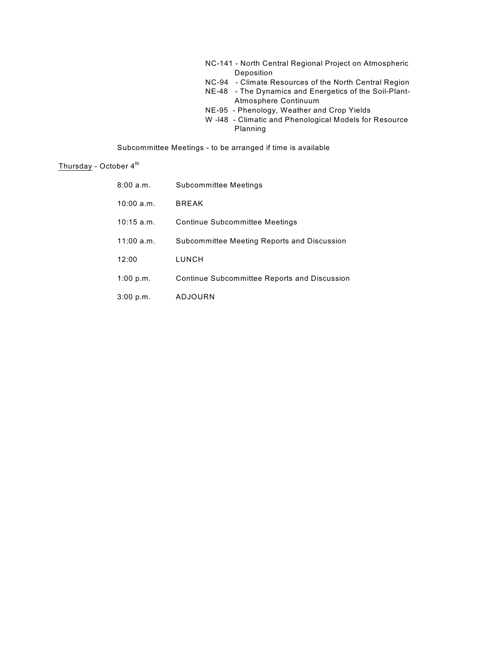| NC-141 - North Central Regional Project on Atmospheric |                                                        |  |
|--------------------------------------------------------|--------------------------------------------------------|--|
|                                                        | Deposition                                             |  |
|                                                        | NC-94 - Climate Resources of the North Central Region  |  |
|                                                        | NE-48 - The Dynamics and Energetics of the Soil-Plant- |  |
|                                                        | Atmosphere Continuum                                   |  |
|                                                        | NE-95 - Phenology, Weather and Crop Yields             |  |
|                                                        | W -I48 - Climatic and Phenological Models for Resource |  |
|                                                        | Planning                                               |  |

Subcommittee Meetings - to be arranged if time is available

# Thursday - October 4<sup>th</sup>

| 8:00 a.m.    | Subcommittee Meetings                               |
|--------------|-----------------------------------------------------|
| 10:00 a.m.   | <b>BREAK</b>                                        |
| $10:15$ a.m. | <b>Continue Subcommittee Meetings</b>               |
| 11:00 a.m.   | Subcommittee Meeting Reports and Discussion         |
| 12:00        | LUNCH                                               |
| 1:00 p.m.    | <b>Continue Subcommittee Reports and Discussion</b> |
| 3:00 p.m.    | ADJOURN                                             |